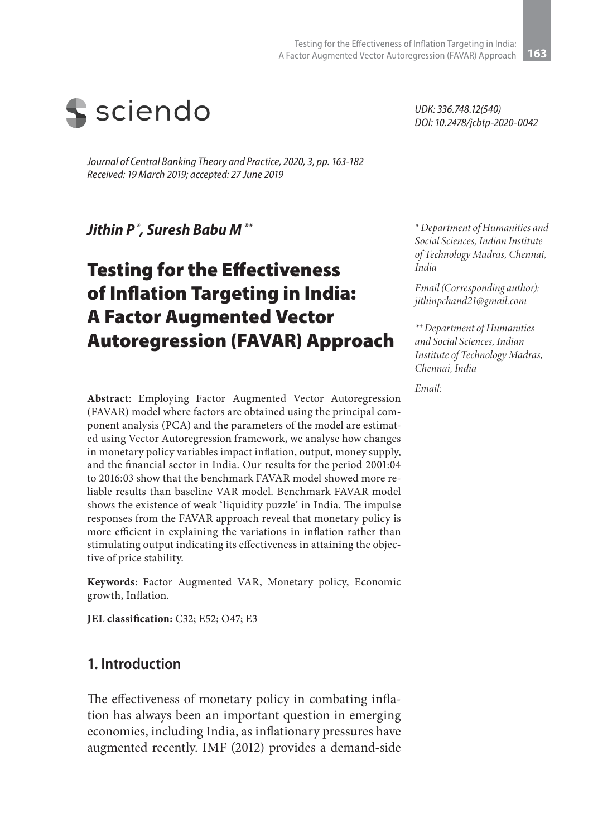

*Journal of Central Banking Theory and Practice, 2020, 3, pp. 163-182 Received: 19 March 2019; accepted: 27 June 2019* 

*Jithin P \*, Suresh Babu M \*\**

# Testing for the Effectiveness of Inflation Targeting in India: A Factor Augmented Vector Autoregression (FAVAR) Approach

**Abstract**: Employing Factor Augmented Vector Autoregression (FAVAR) model where factors are obtained using the principal component analysis (PCA) and the parameters of the model are estimated using Vector Autoregression framework, we analyse how changes in monetary policy variables impact inflation, output, money supply, and the financial sector in India. Our results for the period 2001:04 to 2016:03 show that the benchmark FAVAR model showed more reliable results than baseline VAR model. Benchmark FAVAR model shows the existence of weak 'liquidity puzzle' in India. The impulse responses from the FAVAR approach reveal that monetary policy is more efficient in explaining the variations in inflation rather than stimulating output indicating its effectiveness in attaining the objective of price stability.

**Keywords**: Factor Augmented VAR, Monetary policy, Economic growth, Inflation.

**JEL classification:** C32; E52; O47; E3

### **1. Introduction**

The effectiveness of monetary policy in combating inflation has always been an important question in emerging economies, including India, as inflationary pressures have augmented recently. IMF (2012) provides a demand-side *UDK: 336.748.12(540) DOI: 10.2478/jcbtp-2020-0042*

*\* Department of Humanities and Social Sciences, Indian Institute of Technology Madras, Chennai, India*

*Email (Corresponding author): jithinpchand21@gmail.com*

*\*\* Department of Humanities and Social Sciences, Indian Institute of Technology Madras, Chennai, India*

*Email:*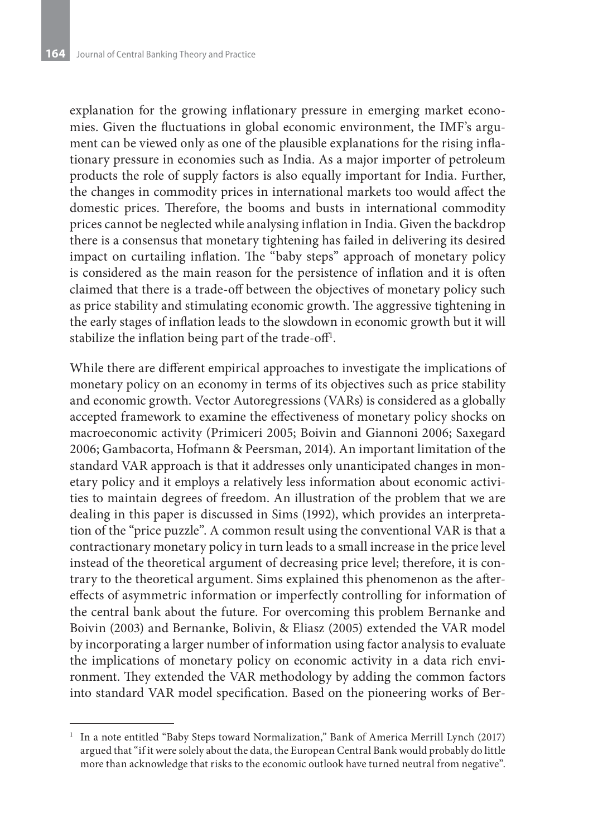explanation for the growing inflationary pressure in emerging market economies. Given the fluctuations in global economic environment, the IMF's argument can be viewed only as one of the plausible explanations for the rising inflationary pressure in economies such as India. As a major importer of petroleum products the role of supply factors is also equally important for India. Further, the changes in commodity prices in international markets too would affect the domestic prices. Therefore, the booms and busts in international commodity prices cannot be neglected while analysing inflation in India. Given the backdrop there is a consensus that monetary tightening has failed in delivering its desired impact on curtailing inflation. The "baby steps" approach of monetary policy is considered as the main reason for the persistence of inflation and it is often claimed that there is a trade-off between the objectives of monetary policy such as price stability and stimulating economic growth. The aggressive tightening in the early stages of inflation leads to the slowdown in economic growth but it will stabilize the inflation being part of the trade-off<sup>1</sup>.

While there are different empirical approaches to investigate the implications of monetary policy on an economy in terms of its objectives such as price stability and economic growth. Vector Autoregressions (VARs) is considered as a globally accepted framework to examine the effectiveness of monetary policy shocks on macroeconomic activity (Primiceri 2005; Boivin and Giannoni 2006; Saxegard 2006; Gambacorta, Hofmann & Peersman, 2014). An important limitation of the standard VAR approach is that it addresses only unanticipated changes in monetary policy and it employs a relatively less information about economic activities to maintain degrees of freedom. An illustration of the problem that we are dealing in this paper is discussed in Sims (1992), which provides an interpretation of the "price puzzle". A common result using the conventional VAR is that a contractionary monetary policy in turn leads to a small increase in the price level instead of the theoretical argument of decreasing price level; therefore, it is contrary to the theoretical argument. Sims explained this phenomenon as the aftereffects of asymmetric information or imperfectly controlling for information of the central bank about the future. For overcoming this problem Bernanke and Boivin (2003) and Bernanke, Bolivin, & Eliasz (2005) extended the VAR model by incorporating a larger number of information using factor analysis to evaluate the implications of monetary policy on economic activity in a data rich environment. They extended the VAR methodology by adding the common factors into standard VAR model specification. Based on the pioneering works of Ber-

<sup>1</sup> In a note entitled "Baby Steps toward Normalization," Bank of America Merrill Lynch (2017) argued that "if it were solely about the data, the European Central Bank would probably do little more than acknowledge that risks to the economic outlook have turned neutral from negative".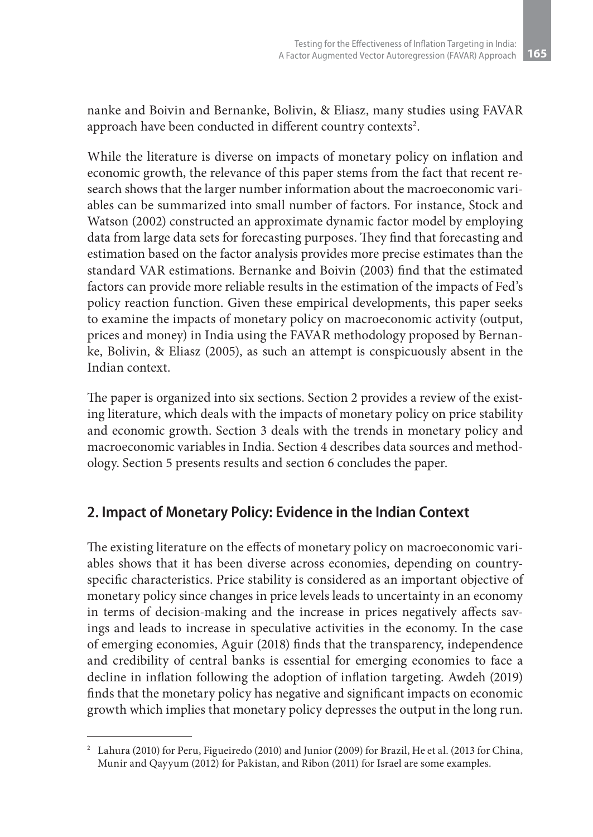nanke and Boivin and Bernanke, Bolivin, & Eliasz, many studies using FAVAR approach have been conducted in different country contexts<sup>2</sup>.

While the literature is diverse on impacts of monetary policy on inflation and economic growth, the relevance of this paper stems from the fact that recent research shows that the larger number information about the macroeconomic variables can be summarized into small number of factors. For instance, Stock and Watson (2002) constructed an approximate dynamic factor model by employing data from large data sets for forecasting purposes. They find that forecasting and estimation based on the factor analysis provides more precise estimates than the standard VAR estimations. Bernanke and Boivin (2003) find that the estimated factors can provide more reliable results in the estimation of the impacts of Fed's policy reaction function. Given these empirical developments, this paper seeks to examine the impacts of monetary policy on macroeconomic activity (output, prices and money) in India using the FAVAR methodology proposed by Bernanke, Bolivin, & Eliasz (2005), as such an attempt is conspicuously absent in the Indian context.

The paper is organized into six sections. Section 2 provides a review of the existing literature, which deals with the impacts of monetary policy on price stability and economic growth. Section 3 deals with the trends in monetary policy and macroeconomic variables in India. Section 4 describes data sources and methodology. Section 5 presents results and section 6 concludes the paper.

## **2. Impact of Monetary Policy: Evidence in the Indian Context**

The existing literature on the effects of monetary policy on macroeconomic variables shows that it has been diverse across economies, depending on countryspecific characteristics. Price stability is considered as an important objective of monetary policy since changes in price levels leads to uncertainty in an economy in terms of decision-making and the increase in prices negatively affects savings and leads to increase in speculative activities in the economy. In the case of emerging economies, Aguir (2018) finds that the transparency, independence and credibility of central banks is essential for emerging economies to face a decline in inflation following the adoption of inflation targeting. Awdeh (2019) finds that the monetary policy has negative and significant impacts on economic growth which implies that monetary policy depresses the output in the long run.

<sup>2</sup> Lahura (2010) for Peru, Figueiredo (2010) and Junior (2009) for Brazil, He et al. (2013 for China, Munir and Qayyum (2012) for Pakistan, and Ribon (2011) for Israel are some examples.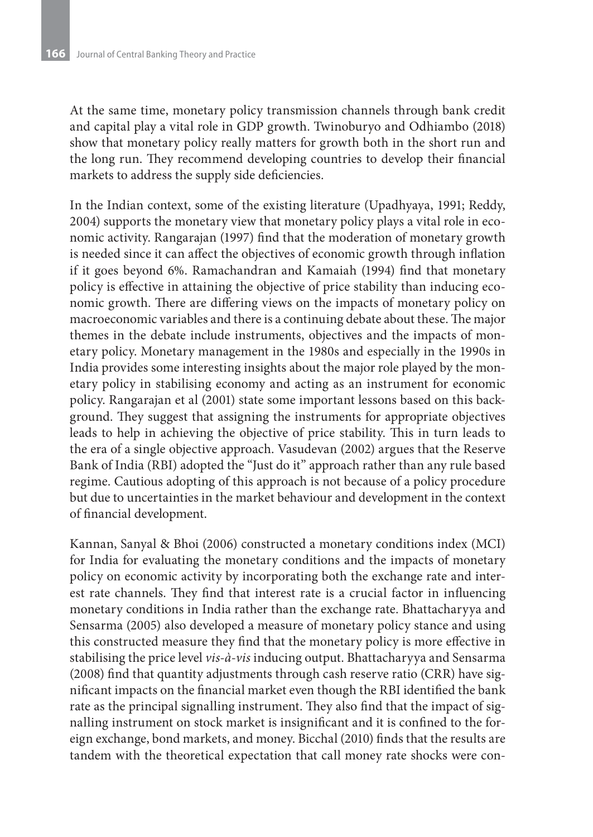At the same time, monetary policy transmission channels through bank credit and capital play a vital role in GDP growth. Twinoburyo and Odhiambo (2018) show that monetary policy really matters for growth both in the short run and the long run. They recommend developing countries to develop their financial markets to address the supply side deficiencies.

In the Indian context, some of the existing literature (Upadhyaya, 1991; Reddy, 2004) supports the monetary view that monetary policy plays a vital role in economic activity. Rangarajan (1997) find that the moderation of monetary growth is needed since it can affect the objectives of economic growth through inflation if it goes beyond 6%. Ramachandran and Kamaiah (1994) find that monetary policy is effective in attaining the objective of price stability than inducing economic growth. There are differing views on the impacts of monetary policy on macroeconomic variables and there is a continuing debate about these. The major themes in the debate include instruments, objectives and the impacts of monetary policy. Monetary management in the 1980s and especially in the 1990s in India provides some interesting insights about the major role played by the monetary policy in stabilising economy and acting as an instrument for economic policy. Rangarajan et al (2001) state some important lessons based on this background. They suggest that assigning the instruments for appropriate objectives leads to help in achieving the objective of price stability. This in turn leads to the era of a single objective approach. Vasudevan (2002) argues that the Reserve Bank of India (RBI) adopted the "Just do it" approach rather than any rule based regime. Cautious adopting of this approach is not because of a policy procedure but due to uncertainties in the market behaviour and development in the context of financial development.

Kannan, Sanyal & Bhoi (2006) constructed a monetary conditions index (MCI) for India for evaluating the monetary conditions and the impacts of monetary policy on economic activity by incorporating both the exchange rate and interest rate channels. They find that interest rate is a crucial factor in influencing monetary conditions in India rather than the exchange rate. Bhattacharyya and Sensarma (2005) also developed a measure of monetary policy stance and using this constructed measure they find that the monetary policy is more effective in stabilising the price level *vis-à-vis* inducing output. Bhattacharyya and Sensarma (2008) find that quantity adjustments through cash reserve ratio (CRR) have significant impacts on the financial market even though the RBI identified the bank rate as the principal signalling instrument. They also find that the impact of signalling instrument on stock market is insignificant and it is confined to the foreign exchange, bond markets, and money. Bicchal (2010) finds that the results are tandem with the theoretical expectation that call money rate shocks were con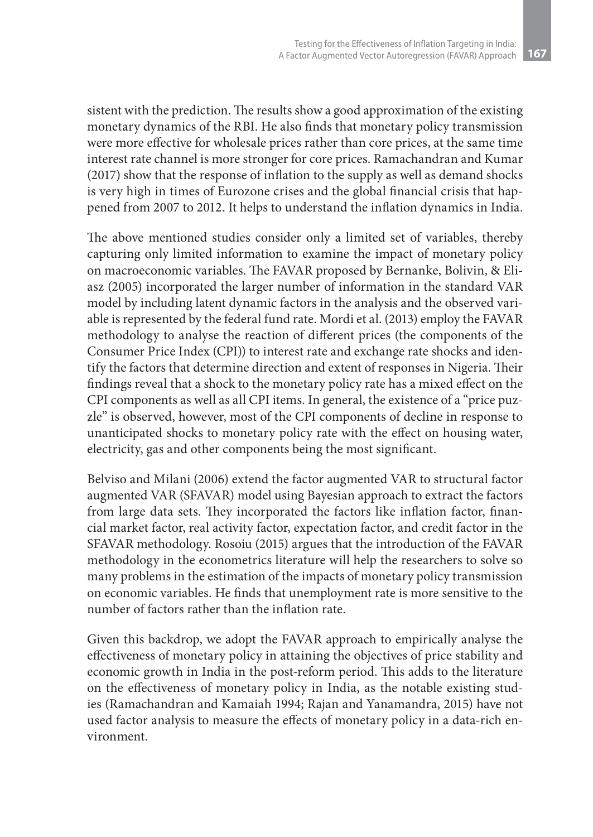sistent with the prediction. The results show a good approximation of the existing monetary dynamics of the RBI. He also finds that monetary policy transmission were more effective for wholesale prices rather than core prices, at the same time interest rate channel is more stronger for core prices. Ramachandran and Kumar (2017) show that the response of inflation to the supply as well as demand shocks is very high in times of Eurozone crises and the global financial crisis that happened from 2007 to 2012. It helps to understand the inflation dynamics in India.

The above mentioned studies consider only a limited set of variables, thereby capturing only limited information to examine the impact of monetary policy on macroeconomic variables. The FAVAR proposed by Bernanke, Bolivin, & Eliasz (2005) incorporated the larger number of information in the standard VAR model by including latent dynamic factors in the analysis and the observed variable is represented by the federal fund rate. Mordi et al. (2013) employ the FAVAR methodology to analyse the reaction of different prices (the components of the Consumer Price Index (CPI)) to interest rate and exchange rate shocks and identify the factors that determine direction and extent of responses in Nigeria. Their findings reveal that a shock to the monetary policy rate has a mixed effect on the CPI components as well as all CPI items. In general, the existence of a "price puzzle" is observed, however, most of the CPI components of decline in response to unanticipated shocks to monetary policy rate with the effect on housing water, electricity, gas and other components being the most significant.

Belviso and Milani (2006) extend the factor augmented VAR to structural factor augmented VAR (SFAVAR) model using Bayesian approach to extract the factors from large data sets. They incorporated the factors like inflation factor, financial market factor, real activity factor, expectation factor, and credit factor in the SFAVAR methodology. Rosoiu (2015) argues that the introduction of the FAVAR methodology in the econometrics literature will help the researchers to solve so many problems in the estimation of the impacts of monetary policy transmission on economic variables. He finds that unemployment rate is more sensitive to the number of factors rather than the inflation rate.

Given this backdrop, we adopt the FAVAR approach to empirically analyse the effectiveness of monetary policy in attaining the objectives of price stability and economic growth in India in the post-reform period. This adds to the literature on the effectiveness of monetary policy in India, as the notable existing studies (Ramachandran and Kamaiah 1994; Rajan and Yanamandra, 2015) have not used factor analysis to measure the effects of monetary policy in a data-rich environment.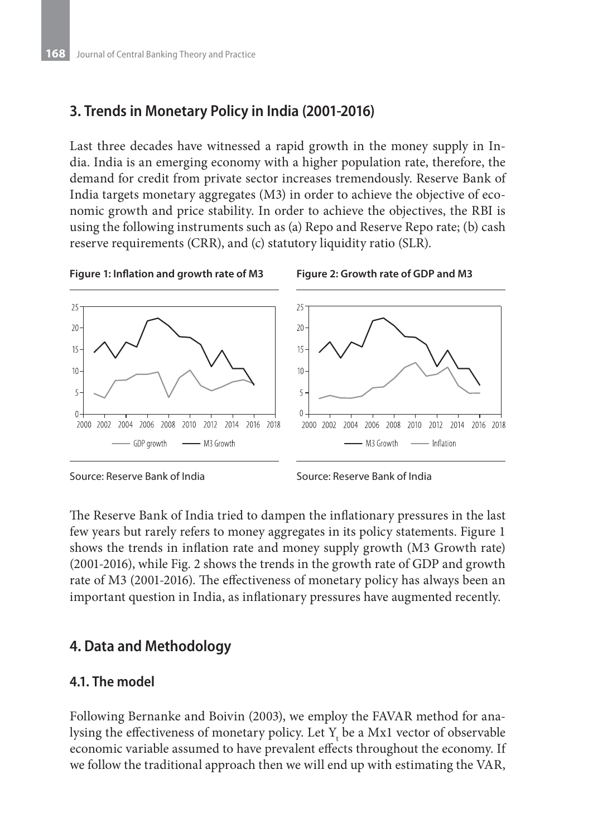## **3. Trends in Monetary Policy in India (2001-2016)**

Last three decades have witnessed a rapid growth in the money supply in India. India is an emerging economy with a higher population rate, therefore, the demand for credit from private sector increases tremendously. Reserve Bank of India targets monetary aggregates (M3) in order to achieve the objective of economic growth and price stability. In order to achieve the objectives, the RBI is using the following instruments such as (a) Repo and Reserve Repo rate; (b) cash reserve requirements (CRR), and (c) statutory liquidity ratio (SLR).









Source: Reserve Bank of India

The Reserve Bank of India tried to dampen the inflationary pressures in the last few years but rarely refers to money aggregates in its policy statements. Figure 1 shows the trends in inflation rate and money supply growth (M3 Growth rate) (2001-2016), while Fig. 2 shows the trends in the growth rate of GDP and growth rate of M3 (2001-2016). The effectiveness of monetary policy has always been an important question in India, as inflationary pressures have augmented recently.

## **4. Data and Methodology**

#### **4.1. The model**

Following Bernanke and Boivin (2003), we employ the FAVAR method for analysing the effectiveness of monetary policy. Let  $Y_t$  be a Mx1 vector of observable economic variable assumed to have prevalent effects throughout the economy. If we follow the traditional approach then we will end up with estimating the VAR,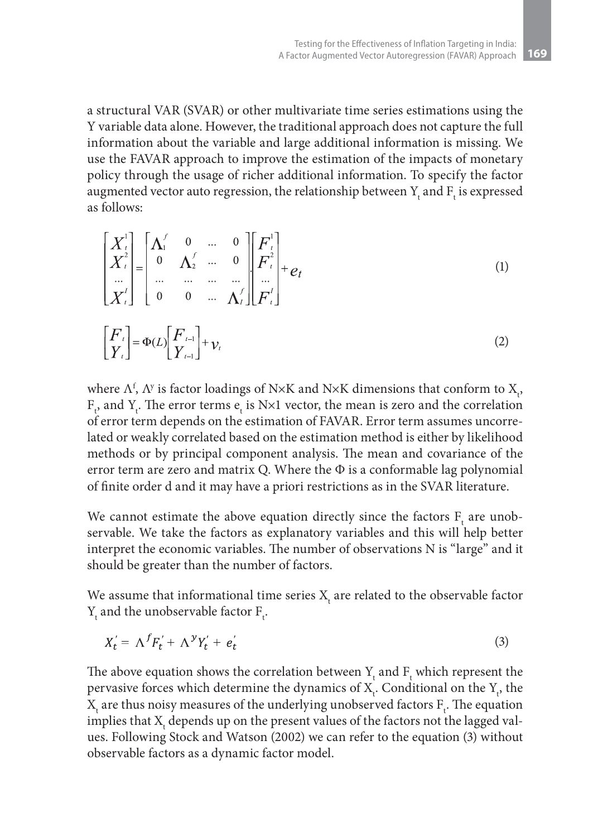a structural VAR (SVAR) or other multivariate time series estimations using the Y variable data alone. However, the traditional approach does not capture the full information about the variable and large additional information is missing. We use the FAVAR approach to improve the estimation of the impacts of monetary policy through the usage of richer additional information. To specify the factor augmented vector auto regression, the relationship between  $Y_t$  and  $F_t$  is expressed as follows:

$$
\begin{bmatrix} X_t^1 \\ X_t^2 \\ \vdots \\ X_t^l \end{bmatrix} = \begin{bmatrix} \Lambda_1^f & 0 & \dots & 0 \\ 0 & \Lambda_2^f & \dots & 0 \\ \vdots & \vdots & \ddots & \vdots \\ 0 & 0 & \dots & \Lambda_t^f \end{bmatrix} \begin{bmatrix} F_t^1 \\ F_t^2 \\ \vdots \\ F_t^l \end{bmatrix} + e_t
$$
 (1)

$$
\begin{bmatrix} F_t \\ Y_t \end{bmatrix} = \Phi(L) \begin{bmatrix} F_{t-1} \\ Y_{t-1} \end{bmatrix} + \nu_t
$$
\n(2)

where  $\Lambda^{\rm f}$ ,  $\Lambda^{\rm y}$  is factor loadings of N×K and N×K dimensions that conform to  ${\rm X}_{\rm t}$ ,  $F_t$ , and  $Y_t$ . The error terms  $e_t$  is N×1 vector, the mean is zero and the correlation of error term depends on the estimation of FAVAR. Error term assumes uncorrelated or weakly correlated based on the estimation method is either by likelihood methods or by principal component analysis. The mean and covariance of the error term are zero and matrix Q. Where the  $\Phi$  is a conformable lag polynomial of finite order d and it may have a priori restrictions as in the SVAR literature.

We cannot estimate the above equation directly since the factors  $F_t$  are unobservable. We take the factors as explanatory variables and this will help better interpret the economic variables. The number of observations N is "large" and it should be greater than the number of factors.

We assume that informational time series  $\mathrm{X}_{\mathrm{t}}$  are related to the observable factor  $Y_{t}$  and the unobservable factor  $F_{t}$ .

$$
X'_t = \Lambda^f F'_t + \Lambda^y Y'_t + e'_t \tag{3}
$$

The above equation shows the correlation between  $Y_t$  and  $F_t$  which represent the pervasive forces which determine the dynamics of  $X_t$ . Conditional on the  $Y_t$ , the  $X_t$  are thus noisy measures of the underlying unobserved factors  $F_t$ . The equation implies that  $\mathrm{X}_\mathrm{t}$  depends up on the present values of the factors not the lagged values. Following Stock and Watson (2002) we can refer to the equation (3) without observable factors as a dynamic factor model.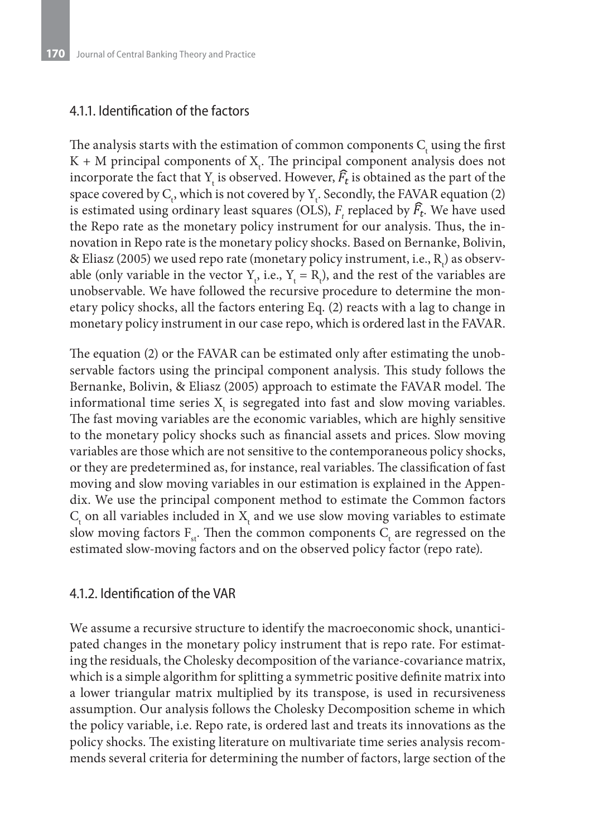#### 4.1.1. Identification of the factors

The analysis starts with the estimation of common components  $C_{t}$  using the first  $K + M$  principal components of  $X_t$ . The principal component analysis does not incorporate the fact that  $Y_t$  is observed. However,  $F_t$  is obtained as the part of the space covered by  $C_t$ , which is not covered by  $Y_t$ . Secondly, the FAVAR equation (2) is estimated using ordinary least squares (OLS),  $F_t$  replaced by  $F_t$ . We have used the Repo rate as the monetary policy instrument for our analysis. Thus, the innovation in Repo rate is the monetary policy shocks. Based on Bernanke, Bolivin, & Eliasz (2005) we used repo rate (monetary policy instrument, i.e.,  $\mathrm{R}_\mathrm{t}$ ) as observable (only variable in the vector  $Y_t$ , i.e.,  $Y_t = R_t$ ), and the rest of the variables are unobservable. We have followed the recursive procedure to determine the monetary policy shocks, all the factors entering Eq. (2) reacts with a lag to change in monetary policy instrument in our case repo, which is ordered last in the FAVAR.

The equation (2) or the FAVAR can be estimated only after estimating the unobservable factors using the principal component analysis. This study follows the Bernanke, Bolivin, & Eliasz (2005) approach to estimate the FAVAR model. The informational time series  $\mathbf{X}_{\mathbf{t}}$  is segregated into fast and slow moving variables. The fast moving variables are the economic variables, which are highly sensitive to the monetary policy shocks such as financial assets and prices. Slow moving variables are those which are not sensitive to the contemporaneous policy shocks, or they are predetermined as, for instance, real variables. The classification of fast moving and slow moving variables in our estimation is explained in the Appendix. We use the principal component method to estimate the Common factors  $C_{\rm t}$  on all variables included in  ${\rm X}_{\rm t}$  and we use slow moving variables to estimate slow moving factors  $F_{st}$ . Then the common components  $C_t$  are regressed on the estimated slow-moving factors and on the observed policy factor (repo rate).

#### 4.1.2. Identification of the VAR

We assume a recursive structure to identify the macroeconomic shock, unanticipated changes in the monetary policy instrument that is repo rate. For estimating the residuals, the Cholesky decomposition of the variance-covariance matrix, which is a simple algorithm for splitting a symmetric positive definite matrix into a lower triangular matrix multiplied by its transpose, is used in recursiveness assumption. Our analysis follows the Cholesky Decomposition scheme in which the policy variable, i.e. Repo rate, is ordered last and treats its innovations as the policy shocks. The existing literature on multivariate time series analysis recommends several criteria for determining the number of factors, large section of the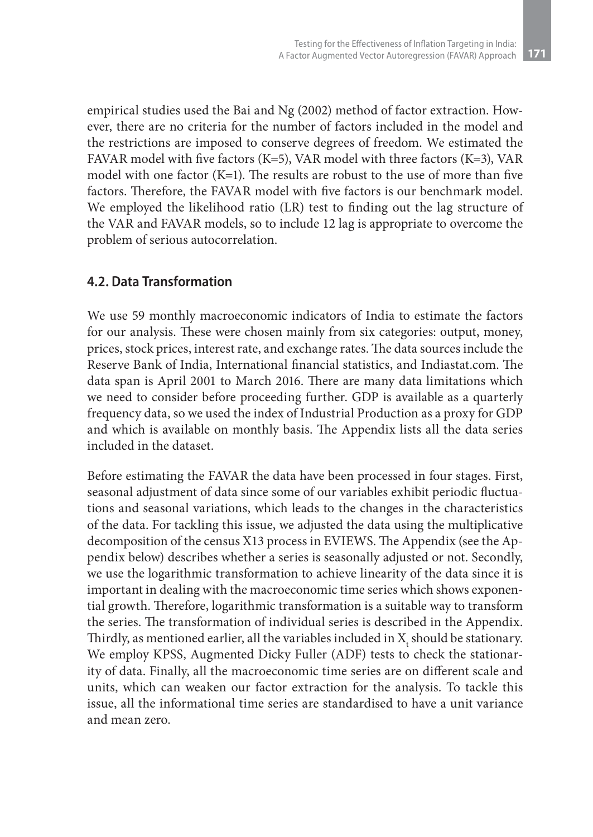empirical studies used the Bai and Ng (2002) method of factor extraction. However, there are no criteria for the number of factors included in the model and the restrictions are imposed to conserve degrees of freedom. We estimated the FAVAR model with five factors (K=5), VAR model with three factors (K=3), VAR model with one factor (K=1). The results are robust to the use of more than five factors. Therefore, the FAVAR model with five factors is our benchmark model. We employed the likelihood ratio (LR) test to finding out the lag structure of the VAR and FAVAR models, so to include 12 lag is appropriate to overcome the problem of serious autocorrelation.

#### **4.2. Data Transformation**

We use 59 monthly macroeconomic indicators of India to estimate the factors for our analysis. These were chosen mainly from six categories: output, money, prices, stock prices, interest rate, and exchange rates. The data sources include the Reserve Bank of India, International financial statistics, and Indiastat.com. The data span is April 2001 to March 2016. There are many data limitations which we need to consider before proceeding further. GDP is available as a quarterly frequency data, so we used the index of Industrial Production as a proxy for GDP and which is available on monthly basis. The Appendix lists all the data series included in the dataset.

Before estimating the FAVAR the data have been processed in four stages. First, seasonal adjustment of data since some of our variables exhibit periodic fluctuations and seasonal variations, which leads to the changes in the characteristics of the data. For tackling this issue, we adjusted the data using the multiplicative decomposition of the census X13 process in EVIEWS. The Appendix (see the Appendix below) describes whether a series is seasonally adjusted or not. Secondly, we use the logarithmic transformation to achieve linearity of the data since it is important in dealing with the macroeconomic time series which shows exponential growth. Therefore, logarithmic transformation is a suitable way to transform the series. The transformation of individual series is described in the Appendix. Thirdly, as mentioned earlier, all the variables included in  $\mathbf{X}_{\text{t}}$  should be stationary. We employ KPSS, Augmented Dicky Fuller (ADF) tests to check the stationarity of data. Finally, all the macroeconomic time series are on different scale and units, which can weaken our factor extraction for the analysis. To tackle this issue, all the informational time series are standardised to have a unit variance and mean zero.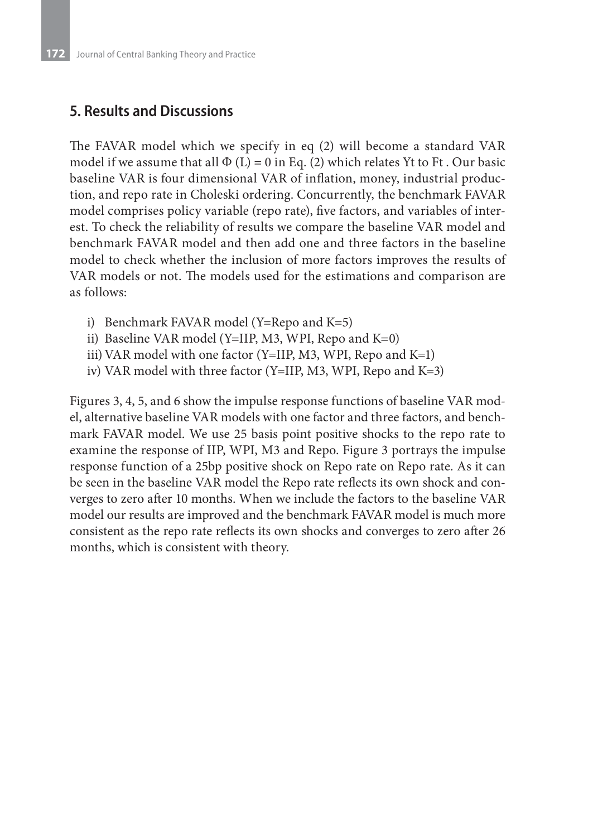## **5. Results and Discussions**

The FAVAR model which we specify in eq (2) will become a standard VAR model if we assume that all  $\Phi$  (L) = 0 in Eq. (2) which relates Yt to Ft. Our basic baseline VAR is four dimensional VAR of inflation, money, industrial production, and repo rate in Choleski ordering. Concurrently, the benchmark FAVAR model comprises policy variable (repo rate), five factors, and variables of interest. To check the reliability of results we compare the baseline VAR model and benchmark FAVAR model and then add one and three factors in the baseline model to check whether the inclusion of more factors improves the results of VAR models or not. The models used for the estimations and comparison are as follows:

- i) Benchmark FAVAR model (Y=Repo and K=5)
- ii) Baseline VAR model (Y=IIP, M3, WPI, Repo and  $K=0$ )
- iii) VAR model with one factor (Y=IIP, M3, WPI, Repo and K=1)
- iv) VAR model with three factor (Y=IIP, M3, WPI, Repo and K=3)

Figures 3, 4, 5, and 6 show the impulse response functions of baseline VAR model, alternative baseline VAR models with one factor and three factors, and benchmark FAVAR model. We use 25 basis point positive shocks to the repo rate to examine the response of IIP, WPI, M3 and Repo. Figure 3 portrays the impulse response function of a 25bp positive shock on Repo rate on Repo rate. As it can be seen in the baseline VAR model the Repo rate reflects its own shock and converges to zero after 10 months. When we include the factors to the baseline VAR model our results are improved and the benchmark FAVAR model is much more consistent as the repo rate reflects its own shocks and converges to zero after 26 months, which is consistent with theory.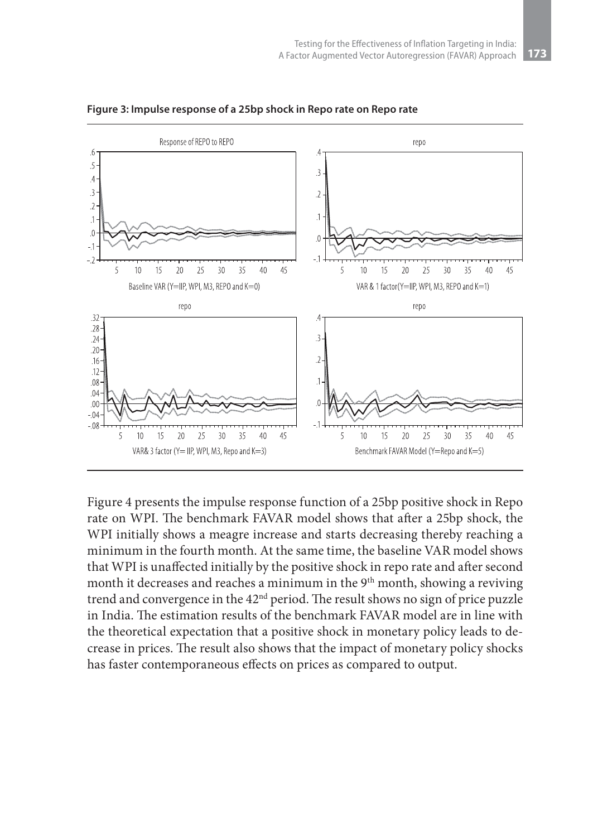

**Figure 3: Impulse response of a 25bp shock in Repo rate on Repo rate**

Figure 4 presents the impulse response function of a 25bp positive shock in Repo rate on WPI. The benchmark FAVAR model shows that after a 25bp shock, the WPI initially shows a meagre increase and starts decreasing thereby reaching a minimum in the fourth month. At the same time, the baseline VAR model shows that WPI is unaffected initially by the positive shock in repo rate and after second month it decreases and reaches a minimum in the 9<sup>th</sup> month, showing a reviving trend and convergence in the 42<sup>nd</sup> period. The result shows no sign of price puzzle in India. The estimation results of the benchmark FAVAR model are in line with the theoretical expectation that a positive shock in monetary policy leads to decrease in prices. The result also shows that the impact of monetary policy shocks has faster contemporaneous effects on prices as compared to output.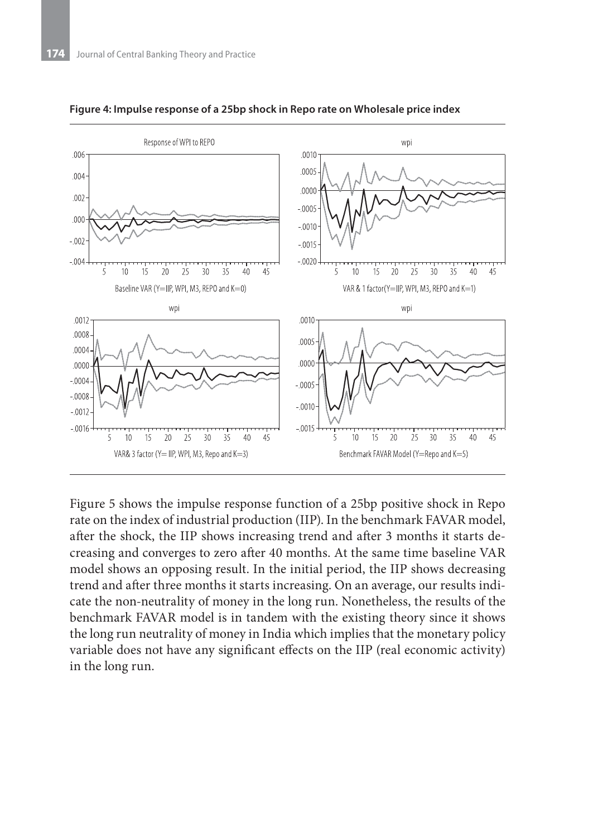

**Figure 4: Impulse response of a 25bp shock in Repo rate on Wholesale price index**

Figure 5 shows the impulse response function of a 25bp positive shock in Repo rate on the index of industrial production (IIP). In the benchmark FAVAR model, after the shock, the IIP shows increasing trend and after 3 months it starts decreasing and converges to zero after 40 months. At the same time baseline VAR model shows an opposing result. In the initial period, the IIP shows decreasing trend and after three months it starts increasing. On an average, our results indicate the non-neutrality of money in the long run. Nonetheless, the results of the benchmark FAVAR model is in tandem with the existing theory since it shows the long run neutrality of money in India which implies that the monetary policy variable does not have any significant effects on the IIP (real economic activity) in the long run.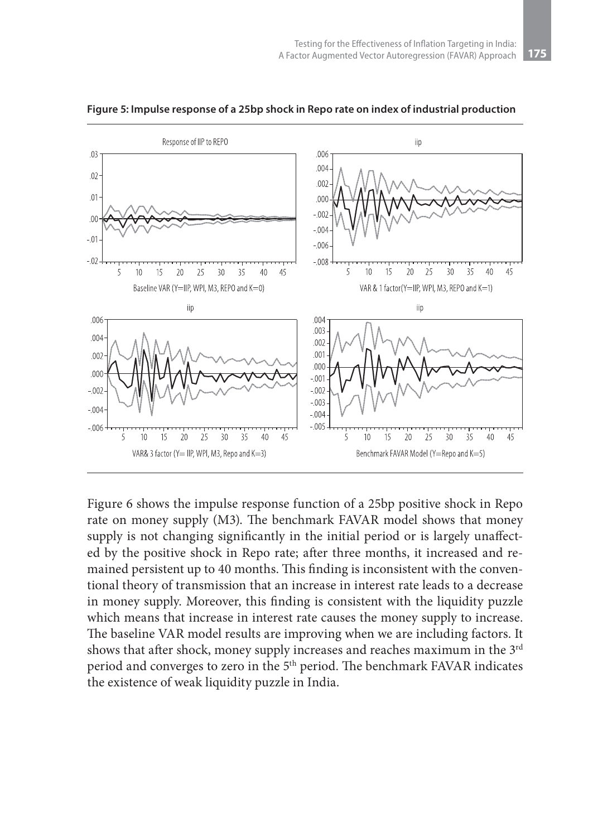

**Figure 5: Impulse response of a 25bp shock in Repo rate on index of industrial production**

Figure 6 shows the impulse response function of a 25bp positive shock in Repo rate on money supply (M3). The benchmark FAVAR model shows that money supply is not changing significantly in the initial period or is largely unaffected by the positive shock in Repo rate; after three months, it increased and remained persistent up to 40 months. This finding is inconsistent with the conventional theory of transmission that an increase in interest rate leads to a decrease in money supply. Moreover, this finding is consistent with the liquidity puzzle which means that increase in interest rate causes the money supply to increase. The baseline VAR model results are improving when we are including factors. It shows that after shock, money supply increases and reaches maximum in the 3<sup>rd</sup> period and converges to zero in the 5<sup>th</sup> period. The benchmark FAVAR indicates the existence of weak liquidity puzzle in India.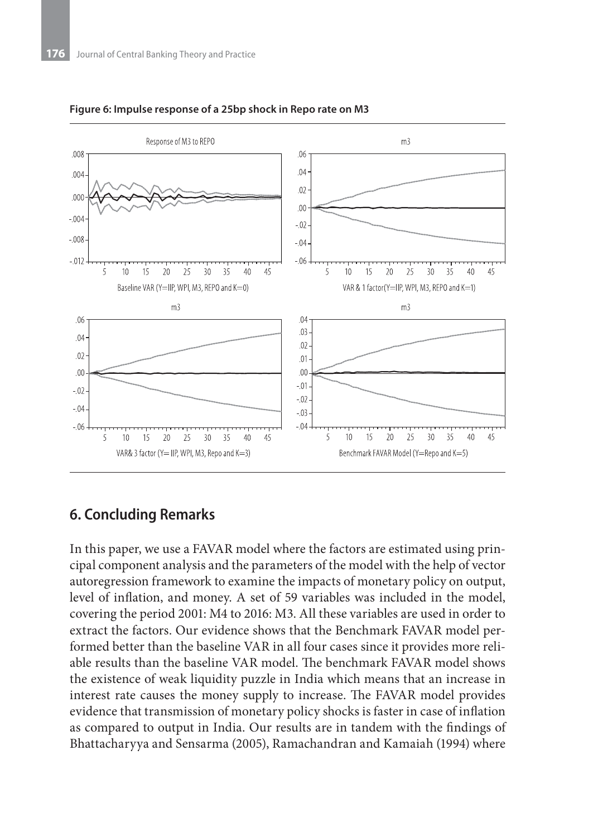

#### **Figure 6: Impulse response of a 25bp shock in Repo rate on M3**

### **6. Concluding Remarks**

In this paper, we use a FAVAR model where the factors are estimated using principal component analysis and the parameters of the model with the help of vector autoregression framework to examine the impacts of monetary policy on output, level of inflation, and money. A set of 59 variables was included in the model, covering the period 2001: M4 to 2016: M3. All these variables are used in order to extract the factors. Our evidence shows that the Benchmark FAVAR model performed better than the baseline VAR in all four cases since it provides more reliable results than the baseline VAR model. The benchmark FAVAR model shows the existence of weak liquidity puzzle in India which means that an increase in interest rate causes the money supply to increase. The FAVAR model provides evidence that transmission of monetary policy shocks is faster in case of inflation as compared to output in India. Our results are in tandem with the findings of Bhattacharyya and Sensarma (2005), Ramachandran and Kamaiah (1994) where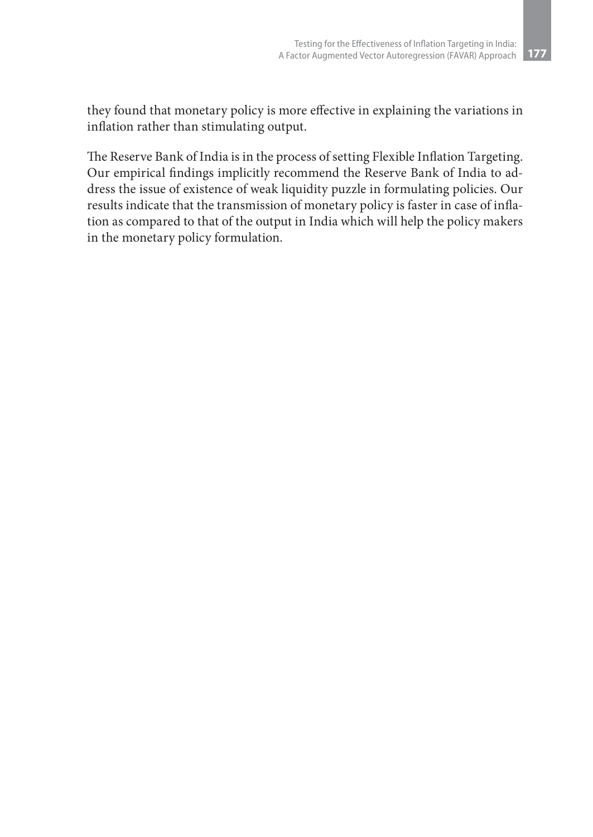they found that monetary policy is more effective in explaining the variations in inflation rather than stimulating output.

The Reserve Bank of India is in the process of setting Flexible Inflation Targeting. Our empirical findings implicitly recommend the Reserve Bank of India to address the issue of existence of weak liquidity puzzle in formulating policies. Our results indicate that the transmission of monetary policy is faster in case of inflation as compared to that of the output in India which will help the policy makers in the monetary policy formulation.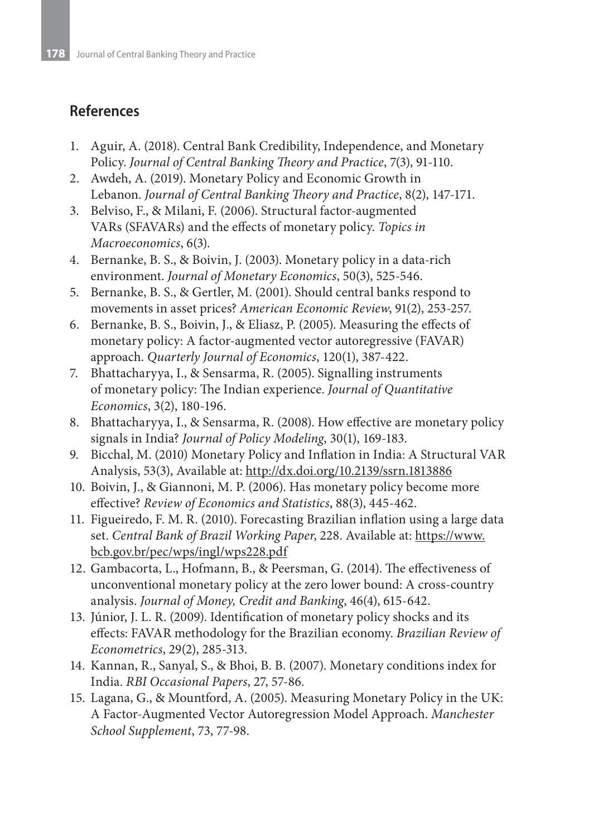## **References**

- 1. Aguir, A. (2018). Central Bank Credibility, Independence, and Monetary Policy. *Journal of Central Banking Theory and Practice*, 7(3), 91-110.
- 2. Awdeh, A. (2019). Monetary Policy and Economic Growth in Lebanon. *Journal of Central Banking Theory and Practice*, 8(2), 147-171.
- 3. Belviso, F., & Milani, F. (2006). Structural factor-augmented VARs (SFAVARs) and the effects of monetary policy. *Topics in Macroeconomics*, 6(3).
- 4. Bernanke, B. S., & Boivin, J. (2003). Monetary policy in a data-rich environment. *Journal of Monetary Economics*, 50(3), 525-546.
- 5. Bernanke, B. S., & Gertler, M. (2001). Should central banks respond to movements in asset prices? *American Economic Review*, 91(2), 253-257.
- 6. Bernanke, B. S., Boivin, J., & Eliasz, P. (2005). Measuring the effects of monetary policy: A factor-augmented vector autoregressive (FAVAR) approach. *Quarterly Journal of Economics*, 120(1), 387-422.
- 7. Bhattacharyya, I., & Sensarma, R. (2005). Signalling instruments of monetary policy: The Indian experience. *Journal of Quantitative Economics*, 3(2), 180-196.
- 8. Bhattacharyya, I., & Sensarma, R. (2008). How effective are monetary policy signals in India? *Journal of Policy Modeling*, 30(1), 169-183.
- 9. Bicchal, M. (2010) Monetary Policy and Inflation in India: A Structural VAR Analysis, 53(3), Available at: http://dx.doi.org/10.2139/ssrn.1813886
- 10. Boivin, J., & Giannoni, M. P. (2006). Has monetary policy become more effective? *Review of Economics and Statistics*, 88(3), 445-462.
- 11. Figueiredo, F. M. R. (2010). Forecasting Brazilian inflation using a large data set. *Central Bank of Brazil Working Paper*, 228. Available at: https://www. bcb.gov.br/pec/wps/ingl/wps228.pdf
- 12. Gambacorta, L., Hofmann, B., & Peersman, G. (2014). The effectiveness of unconventional monetary policy at the zero lower bound: A cross‐country analysis. *Journal of Money, Credit and Banking*, 46(4), 615-642.
- 13. Júnior, J. L. R. (2009). Identification of monetary policy shocks and its effects: FAVAR methodology for the Brazilian economy. *Brazilian Review of Econometrics*, 29(2), 285-313.
- 14. Kannan, R., Sanyal, S., & Bhoi, B. B. (2007). Monetary conditions index for India. *RBI Occasional Papers*, 27, 57-86.
- 15. Lagana, G., & Mountford, A. (2005). Measuring Monetary Policy in the UK: A Factor‐Augmented Vector Autoregression Model Approach. *Manchester School Supplement*, 73, 77-98.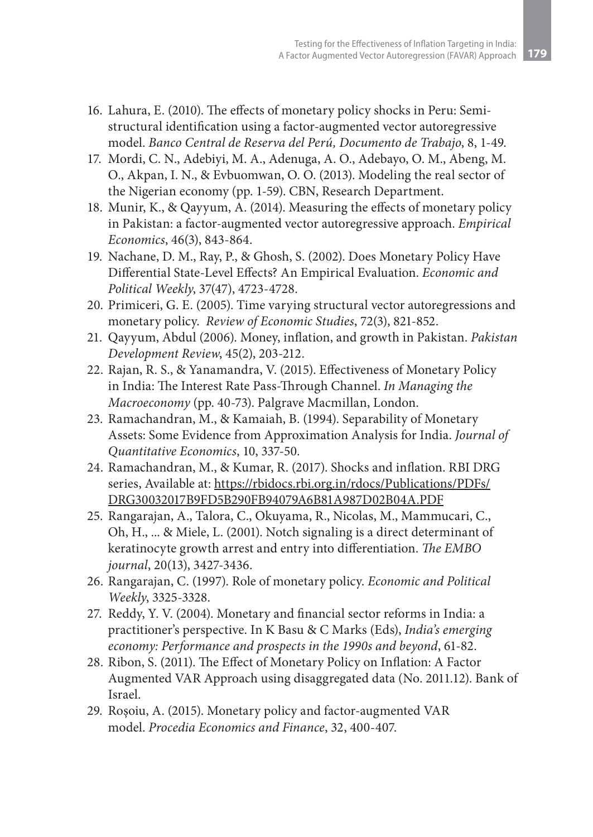- 16. Lahura, E. (2010). The effects of monetary policy shocks in Peru: Semistructural identification using a factor-augmented vector autoregressive model. *Banco Central de Reserva del Perú, Documento de Trabajo*, 8, 1-49.
- 17. Mordi, C. N., Adebiyi, M. A., Adenuga, A. O., Adebayo, O. M., Abeng, M. O., Akpan, I. N., & Evbuomwan, O. O. (2013). Modeling the real sector of the Nigerian economy (pp. 1-59). CBN, Research Department.
- 18. Munir, K., & Qayyum, A. (2014). Measuring the effects of monetary policy in Pakistan: a factor-augmented vector autoregressive approach. *Empirical Economics*, 46(3), 843-864.
- 19. Nachane, D. M., Ray, P., & Ghosh, S. (2002). Does Monetary Policy Have Differential State-Level Effects? An Empirical Evaluation. *Economic and Political Weekly*, 37(47), 4723-4728.
- 20. Primiceri, G. E. (2005). Time varying structural vector autoregressions and monetary policy. *Review of Economic Studies*, 72(3), 821-852.
- 21. Qayyum, Abdul (2006). Money, inflation, and growth in Pakistan. *Pakistan Development Review*, 45(2), 203-212.
- 22. Rajan, R. S., & Yanamandra, V. (2015). Effectiveness of Monetary Policy in India: The Interest Rate Pass-Through Channel. *In Managing the Macroeconomy* (pp. 40-73). Palgrave Macmillan, London.
- 23. Ramachandran, M., & Kamaiah, B. (1994). Separability of Monetary Assets: Some Evidence from Approximation Analysis for India. *Journal of Quantitative Economics*, 10, 337-50.
- 24. Ramachandran, M., & Kumar, R. (2017). Shocks and inflation. RBI DRG series, Available at: https://rbidocs.rbi.org.in/rdocs/Publications/PDFs/ DRG30032017B9FD5B290FB94079A6B81A987D02B04A.PDF
- 25. Rangarajan, A., Talora, C., Okuyama, R., Nicolas, M., Mammucari, C., Oh, H., ... & Miele, L. (2001). Notch signaling is a direct determinant of keratinocyte growth arrest and entry into differentiation. *The EMBO journal*, 20(13), 3427-3436.
- 26. Rangarajan, C. (1997). Role of monetary policy. *Economic and Political Weekly*, 3325-3328.
- 27. Reddy, Y. V. (2004). Monetary and financial sector reforms in India: a practitioner's perspective. In K Basu & C Marks (Eds), *India's emerging economy: Performance and prospects in the 1990s and beyond*, 61-82.
- 28. Ribon, S. (2011). The Effect of Monetary Policy on Inflation: A Factor Augmented VAR Approach using disaggregated data (No. 2011.12). Bank of Israel.
- 29. Roşoiu, A. (2015). Monetary policy and factor-augmented VAR model. *Procedia Economics and Finance*, 32, 400-407.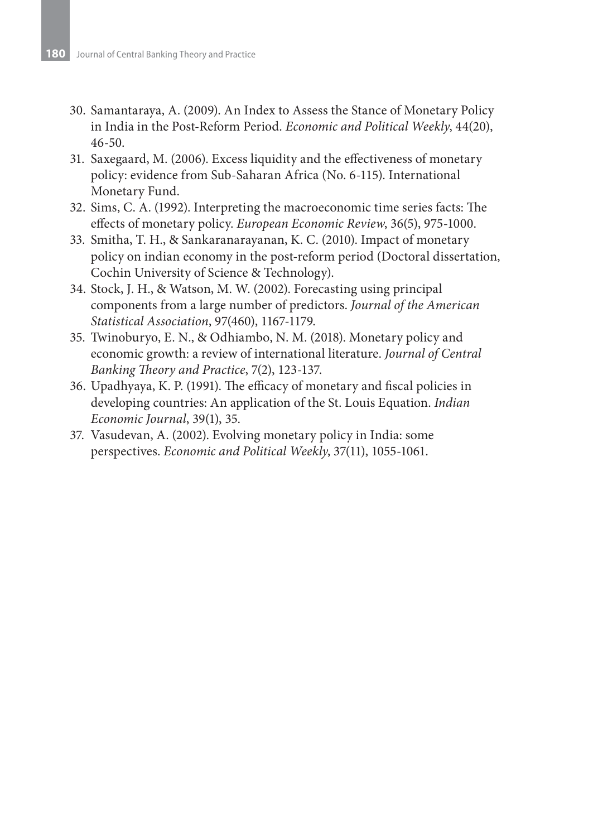- 30. Samantaraya, A. (2009). An Index to Assess the Stance of Monetary Policy in India in the Post-Reform Period. *Economic and Political Weekly*, 44(20), 46-50.
- 31. Saxegaard, M. (2006). Excess liquidity and the effectiveness of monetary policy: evidence from Sub-Saharan Africa (No. 6-115). International Monetary Fund.
- 32. Sims, C. A. (1992). Interpreting the macroeconomic time series facts: The effects of monetary policy. *European Economic Review*, 36(5), 975-1000.
- 33. Smitha, T. H., & Sankaranarayanan, K. C. (2010). Impact of monetary policy on indian economy in the post-reform period (Doctoral dissertation, Cochin University of Science & Technology).
- 34. Stock, J. H., & Watson, M. W. (2002). Forecasting using principal components from a large number of predictors. *Journal of the American Statistical Association*, 97(460), 1167-1179.
- 35. Twinoburyo, E. N., & Odhiambo, N. M. (2018). Monetary policy and economic growth: a review of international literature. *Journal of Central Banking Theory and Practice*, 7(2), 123-137.
- 36. Upadhyaya, K. P. (1991). The efficacy of monetary and fiscal policies in developing countries: An application of the St. Louis Equation. *Indian Economic Journal*, 39(1), 35.
- 37. Vasudevan, A. (2002). Evolving monetary policy in India: some perspectives. *Economic and Political Weekly*, 37(11), 1055-1061.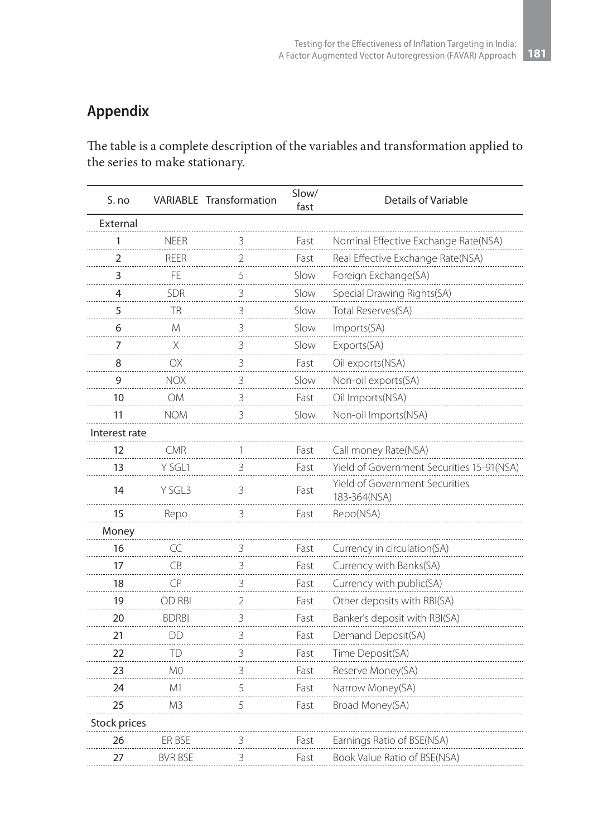## **Appendix**

The table is a complete description of the variables and transformation applied to the series to make stationary.

| S. no         |                | <b>VARIABLE Transformation</b> | Slow/<br>fast | Details of Variable                            |
|---------------|----------------|--------------------------------|---------------|------------------------------------------------|
| External      |                |                                |               |                                                |
| 1             | <b>NFFR</b>    | 3                              | Fast          | Nominal Effective Exchange Rate(NSA)           |
| 2             | <b>REER</b>    | 2                              | Fast          | Real Effective Exchange Rate(NSA)              |
| 3             | FF             | 5                              | Slow          | Foreign Exchange(SA)                           |
| 4             | SDR            | 3                              | Slow          | Special Drawing Rights(SA)                     |
| 5             | TR             | 3                              | Slow          | Total Reserves(SA)                             |
| 6             | M              | 3                              | Slow          | Imports(SA)                                    |
| 7             | Χ              | 3                              | Slow          | Exports(SA)                                    |
| 8             | OX             | 3                              | Fast          | Oil exports(NSA)                               |
| $\mathsf{Q}$  | NOX            | 3                              | Slow          | Non-oil exports(SA)                            |
| 10            | ΟM             | 3                              | Fast          | Oil Imports(NSA)                               |
| 11            | NOM            | 3                              | Slow          | Non-oil Imports(NSA)                           |
| Interest rate |                |                                |               |                                                |
| 12            | <b>CMR</b>     | 1                              | Fast          | Call money Rate(NSA)                           |
| 13            | Y SGL1         | 3                              | Fast          | Yield of Government Securities 15-91(NSA)      |
| 14            | Y SGL3         | 3                              | Fast          | Yield of Government Securities<br>183-364(NSA) |
| 15            | Repo           | 3                              | Fast          | Repo(NSA)                                      |
| Money         |                |                                |               |                                                |
| 16            | CC             | 3                              | Fast          | Currency in circulation(SA)                    |
| 17            | <b>CB</b>      | 3                              | Fast          | Currency with Banks(SA)                        |
| 18            | CP             | 3                              | Fast          | Currency with public(SA)                       |
| 19            | OD RBI         | $\overline{2}$                 | Fast          | Other deposits with RBI(SA)                    |
| 20            | <b>BDRBI</b>   | 3                              | Fast          | Banker's deposit with RBI(SA)                  |
| 21            | DD             | 3                              | Fast          | Demand Deposit(SA)                             |
| 22            | TD             | 3                              | Fast          | Time Deposit(SA)                               |
| 23            | M <sub>0</sub> | 3                              | Fast          | Reserve Money(SA)                              |
| 24            | M1             | 5                              | Fast          | Narrow Money(SA)                               |
| 25            | M <sub>3</sub> | 5                              | Fast          | Broad Money(SA)                                |
| Stock prices  |                |                                |               |                                                |
| 26            | ER BSE         | 3                              | Fast          | Earnings Ratio of BSE(NSA)                     |
| 27            | BVR BSE        | 3                              | Fast          | Book Value Ratio of BSE(NSA)                   |